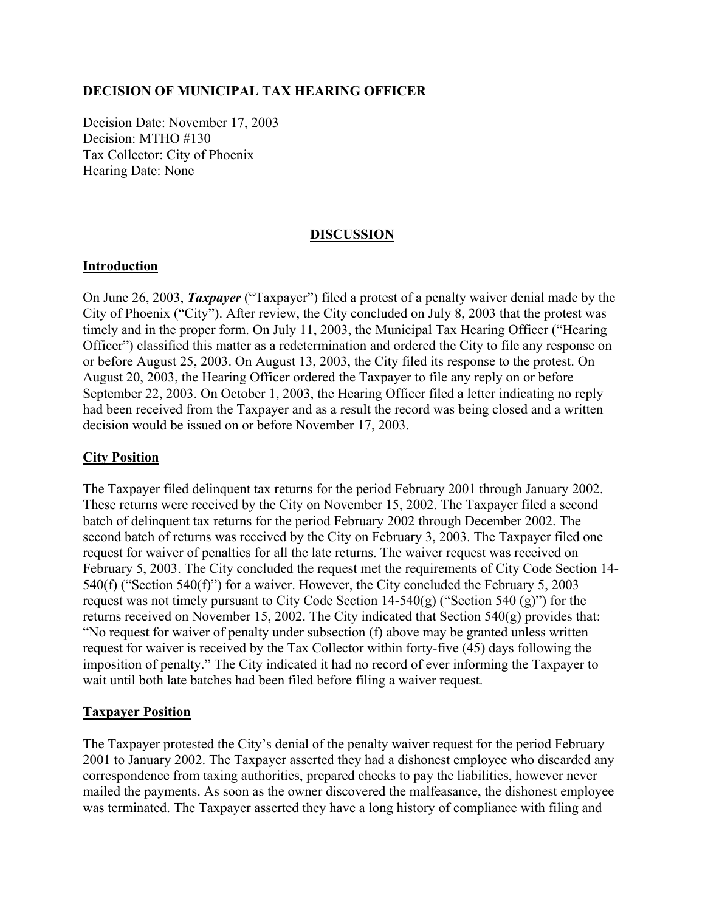#### **DECISION OF MUNICIPAL TAX HEARING OFFICER**

Decision Date: November 17, 2003 Decision: MTHO #130 Tax Collector: City of Phoenix Hearing Date: None

## **DISCUSSION**

#### **Introduction**

On June 26, 2003, *Taxpayer* ("Taxpayer") filed a protest of a penalty waiver denial made by the City of Phoenix ("City"). After review, the City concluded on July 8, 2003 that the protest was timely and in the proper form. On July 11, 2003, the Municipal Tax Hearing Officer ("Hearing Officer") classified this matter as a redetermination and ordered the City to file any response on or before August 25, 2003. On August 13, 2003, the City filed its response to the protest. On August 20, 2003, the Hearing Officer ordered the Taxpayer to file any reply on or before September 22, 2003. On October 1, 2003, the Hearing Officer filed a letter indicating no reply had been received from the Taxpayer and as a result the record was being closed and a written decision would be issued on or before November 17, 2003.

#### **City Position**

The Taxpayer filed delinquent tax returns for the period February 2001 through January 2002. These returns were received by the City on November 15, 2002. The Taxpayer filed a second batch of delinquent tax returns for the period February 2002 through December 2002. The second batch of returns was received by the City on February 3, 2003. The Taxpayer filed one request for waiver of penalties for all the late returns. The waiver request was received on February 5, 2003. The City concluded the request met the requirements of City Code Section 14- 540(f) ("Section 540(f)") for a waiver. However, the City concluded the February 5, 2003 request was not timely pursuant to City Code Section  $14-540(g)$  ("Section 540 (g)") for the returns received on November 15, 2002. The City indicated that Section 540(g) provides that: "No request for waiver of penalty under subsection (f) above may be granted unless written request for waiver is received by the Tax Collector within forty-five (45) days following the imposition of penalty." The City indicated it had no record of ever informing the Taxpayer to wait until both late batches had been filed before filing a waiver request.

#### **Taxpayer Position**

The Taxpayer protested the City's denial of the penalty waiver request for the period February 2001 to January 2002. The Taxpayer asserted they had a dishonest employee who discarded any correspondence from taxing authorities, prepared checks to pay the liabilities, however never mailed the payments. As soon as the owner discovered the malfeasance, the dishonest employee was terminated. The Taxpayer asserted they have a long history of compliance with filing and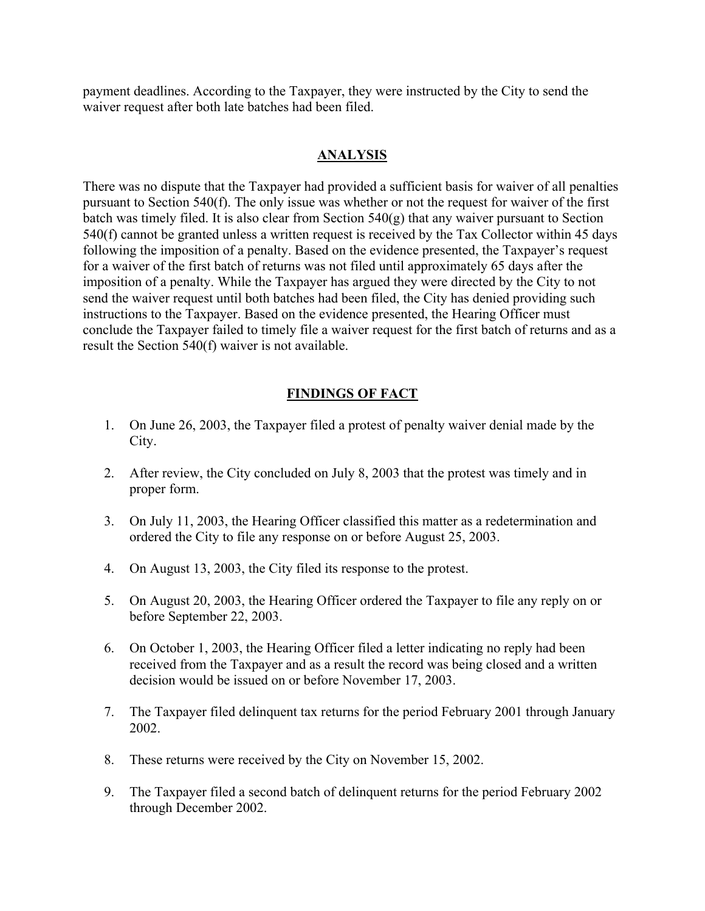payment deadlines. According to the Taxpayer, they were instructed by the City to send the waiver request after both late batches had been filed.

## **ANALYSIS**

There was no dispute that the Taxpayer had provided a sufficient basis for waiver of all penalties pursuant to Section 540(f). The only issue was whether or not the request for waiver of the first batch was timely filed. It is also clear from Section  $540(g)$  that any waiver pursuant to Section 540(f) cannot be granted unless a written request is received by the Tax Collector within 45 days following the imposition of a penalty. Based on the evidence presented, the Taxpayer's request for a waiver of the first batch of returns was not filed until approximately 65 days after the imposition of a penalty. While the Taxpayer has argued they were directed by the City to not send the waiver request until both batches had been filed, the City has denied providing such instructions to the Taxpayer. Based on the evidence presented, the Hearing Officer must conclude the Taxpayer failed to timely file a waiver request for the first batch of returns and as a result the Section 540(f) waiver is not available.

# **FINDINGS OF FACT**

- 1. On June 26, 2003, the Taxpayer filed a protest of penalty waiver denial made by the City.
- 2. After review, the City concluded on July 8, 2003 that the protest was timely and in proper form.
- 3. On July 11, 2003, the Hearing Officer classified this matter as a redetermination and ordered the City to file any response on or before August 25, 2003.
- 4. On August 13, 2003, the City filed its response to the protest.
- 5. On August 20, 2003, the Hearing Officer ordered the Taxpayer to file any reply on or before September 22, 2003.
- 6. On October 1, 2003, the Hearing Officer filed a letter indicating no reply had been received from the Taxpayer and as a result the record was being closed and a written decision would be issued on or before November 17, 2003.
- 7. The Taxpayer filed delinquent tax returns for the period February 2001 through January 2002.
- 8. These returns were received by the City on November 15, 2002.
- 9. The Taxpayer filed a second batch of delinquent returns for the period February 2002 through December 2002.